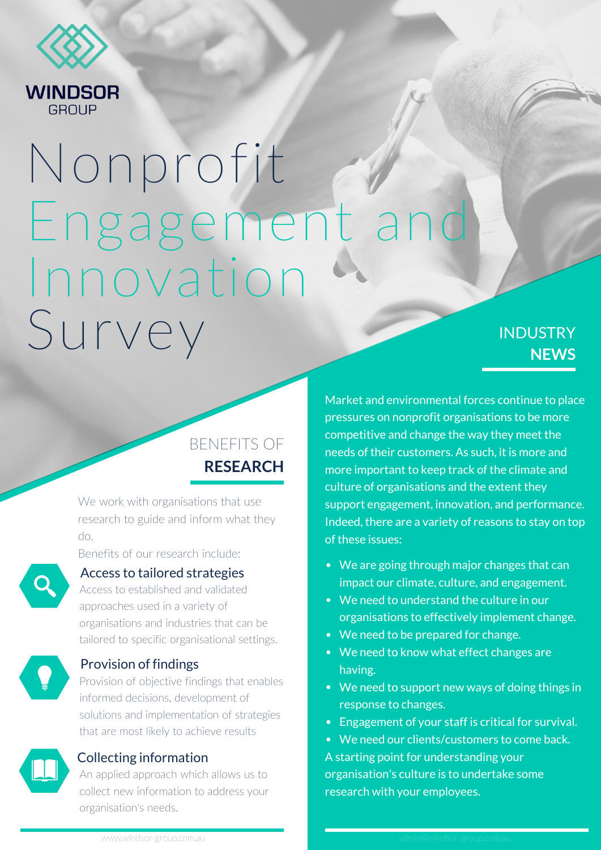

GROUP

# Nonprofit Survey Engagement an Innovation

## BENEFITS OF **RESEARCH**

We work with organisations that use research to guide and inform what they do.

Benefits of our research include:



#### Access to tailored strategies

Access to established and validated approaches used in a variety of organisations and industries that can be tailored to specific organisational settings.



#### Provision of findings

Provision of objective findings that enables informed decisions, development of solutions and implementation of strategies that are most likely to achieve results



#### Collecting information

An applied approach which allows us to collect new information to address your organisation's needs.

## **INDUSTRY NEWS**

Market and environmental forces continue to place pressures on nonprofit organisations to be more competitive and change the way they meet the needs of their customers. As such, it is more and more important to keep track of the climate and culture of organisations and the extent they support engagement, innovation, and performance. Indeed, there are a variety of reasons to stay on top of these issues:

- We are going through major changes that can impact our climate, culture, and engagement.
- We need to understand the culture in our organisations to effectively implement change.
- We need to be prepared for change.
- We need to know what effect changes are having.
- We need to support new ways of doing things in response to changes.
- Engagement of your staff is critical for survival.
- We need our clients/customers to come back.

A starting point for understanding your organisation's culture is to undertake some research with your employees.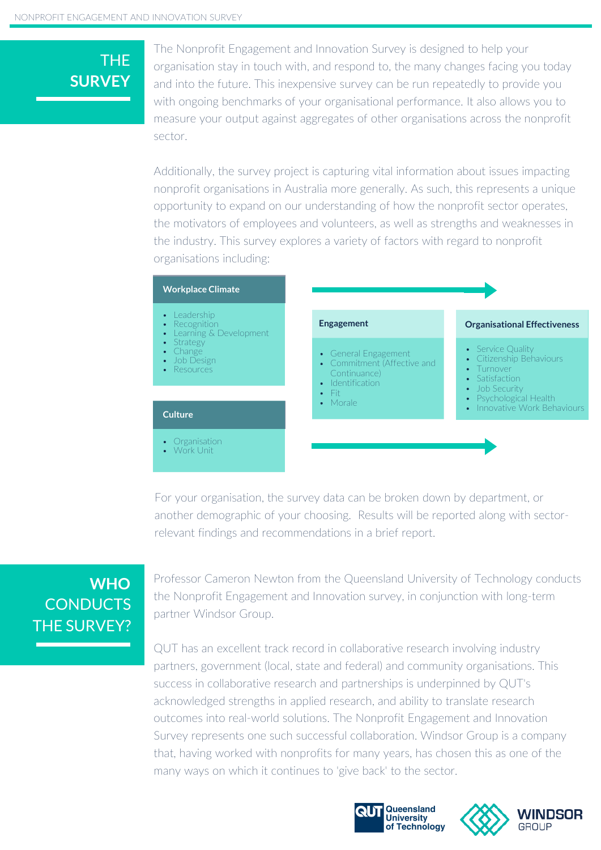## THE **SURVEY**

The Nonprofit Engagement and Innovation Survey is designed to help your organisation stay in touch with, and respond to, the many changes facing you today and into the future. This inexpensive survey can be run repeatedly to provide you with ongoing benchmarks of your organisational performance. It also allows you to measure your output against aggregates of other organisations across the nonprofit sector.

Additionally, the survey project is capturing vital information about issues impacting nonprofit organisations in Australia more generally. As such, this represents a unique opportunity to expand on our understanding of how the nonprofit sector operates, the motivators of employees and volunteers, as well as strengths and weaknesses in the industry. This survey explores a variety of factors with regard to nonprofit organisations including:



For your organisation, the survey data can be broken down by department, or another demographic of your choosing. Results will be reported along with sectorrelevant findings and recommendations in a brief report.

## **CONDUCTS** THE SURVEY? **WHO**

Professor Cameron Newton from the Queensland University of Technology conducts the Nonprofit Engagement and Innovation survey, in conjunction with long-term partner Windsor Group.

QUT has an excellent track record in collaborative research involving industry partners, government (local, state and federal) and community organisations. This success in collaborative research and partnerships is underpinned by QUT's acknowledged strengths in applied research, and ability to translate research outcomes into real-world solutions. The Nonprofit Engagement and Innovation Survey represents one such successful collaboration. Windsor Group is a company that, having worked with nonprofits for many years, has chosen this as one of the many ways on which it continues to 'give back' to the sector.